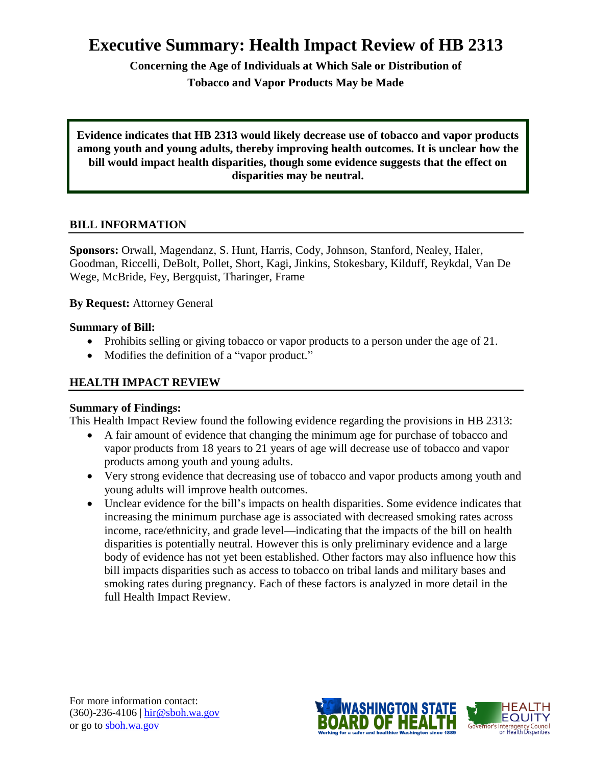# **Executive Summary: Health Impact Review of HB 2313**

**Concerning the Age of Individuals at Which Sale or Distribution of Tobacco and Vapor Products May be Made**

**Evidence indicates that HB 2313 would likely decrease use of tobacco and vapor products among youth and young adults, thereby improving health outcomes. It is unclear how the bill would impact health disparities, though some evidence suggests that the effect on disparities may be neutral.**

# **BILL INFORMATION**

**Sponsors:** [Orwall,](http://www.leg.wa.gov/house/representatives/pages/default.aspx#orwall) [Magendanz,](http://www.leg.wa.gov/house/representatives/pages/default.aspx#magendanz) [S. Hunt,](http://www.leg.wa.gov/house/representatives/pages/default.aspx#hunts) [Harris,](http://www.leg.wa.gov/house/representatives/pages/default.aspx#harris) [Cody,](http://www.leg.wa.gov/house/representatives/pages/default.aspx#cody) [Johnson,](http://www.leg.wa.gov/house/representatives/pages/default.aspx#johnson) [Stanford,](http://www.leg.wa.gov/house/representatives/pages/default.aspx#stanford) [Nealey,](http://www.leg.wa.gov/house/representatives/pages/default.aspx#nealey) [Haler,](http://www.leg.wa.gov/house/representatives/pages/default.aspx#haler) [Goodman,](http://www.leg.wa.gov/house/representatives/pages/default.aspx#goodman) [Riccelli,](http://www.leg.wa.gov/house/representatives/pages/default.aspx#riccelli) [DeBolt,](http://www.leg.wa.gov/house/representatives/pages/default.aspx#debolt) [Pollet,](http://www.leg.wa.gov/house/representatives/pages/default.aspx#pollet) [Short,](http://www.leg.wa.gov/house/representatives/pages/default.aspx#short) [Kagi,](http://www.leg.wa.gov/house/representatives/pages/default.aspx#kagi) [Jinkins,](http://www.leg.wa.gov/house/representatives/pages/default.aspx#jinkins) [Stokesbary,](http://www.leg.wa.gov/house/representatives/pages/default.aspx#stokesbary) [Kilduff,](http://www.leg.wa.gov/house/representatives/pages/default.aspx#kilduff) [Reykdal,](http://www.leg.wa.gov/house/representatives/pages/default.aspx#reykdal) [Van De](http://www.leg.wa.gov/house/representatives/pages/default.aspx#vandewege)  [Wege,](http://www.leg.wa.gov/house/representatives/pages/default.aspx#vandewege) [McBride,](http://www.leg.wa.gov/house/representatives/pages/default.aspx#mcbride) [Fey,](http://www.leg.wa.gov/house/representatives/pages/default.aspx#fey) [Bergquist,](http://www.leg.wa.gov/house/representatives/pages/default.aspx#bergquist) [Tharinger,](http://www.leg.wa.gov/house/representatives/pages/default.aspx#tharinger) [Frame](http://www.leg.wa.gov/house/representatives/pages/default.aspx#frame)

**By Request:** Attorney General

# **Summary of Bill:**

- Prohibits selling or giving tobacco or vapor products to a person under the age of 21.
- Modifies the definition of a "vapor product."

# **HEALTH IMPACT REVIEW**

# **Summary of Findings:**

This Health Impact Review found the following evidence regarding the provisions in HB 2313:

- A fair amount of evidence that changing the minimum age for purchase of tobacco and vapor products from 18 years to 21 years of age will decrease use of tobacco and vapor products among youth and young adults.
- Very strong evidence that decreasing use of tobacco and vapor products among youth and young adults will improve health outcomes.
- Unclear evidence for the bill's impacts on health disparities. Some evidence indicates that increasing the minimum purchase age is associated with decreased smoking rates across income, race/ethnicity, and grade level—indicating that the impacts of the bill on health disparities is potentially neutral. However this is only preliminary evidence and a large body of evidence has not yet been established. Other factors may also influence how this bill impacts disparities such as access to tobacco on tribal lands and military bases and smoking rates during pregnancy. Each of these factors is analyzed in more detail in the full Health Impact Review.

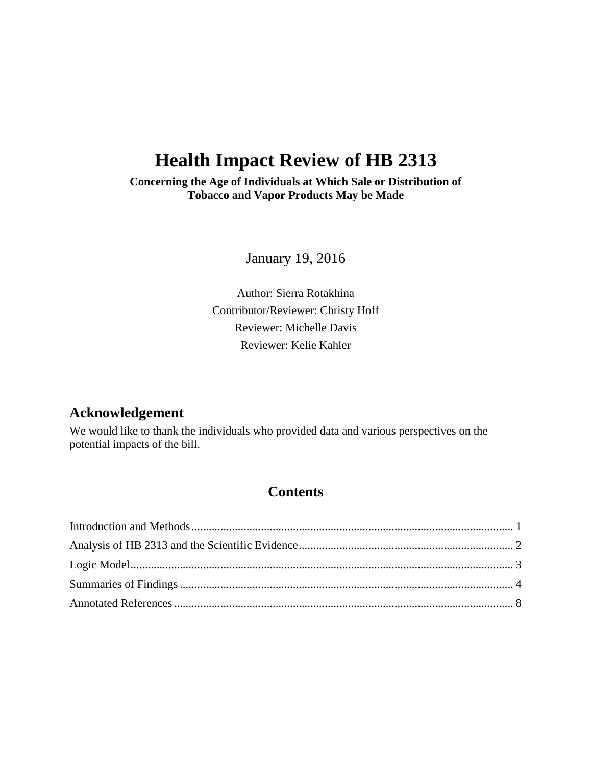# **Health Impact Review of HB 2313**

**Concerning the Age of Individuals at Which Sale or Distribution of Tobacco and Vapor Products May be Made**

January 19, 2016

Author: Sierra Rotakhina Contributor/Reviewer: Christy Hoff Reviewer: Michelle Davis Reviewer: Kelie Kahler

# **Acknowledgement**

We would like to thank the individuals who provided data and various perspectives on the potential impacts of the bill.

# **Contents**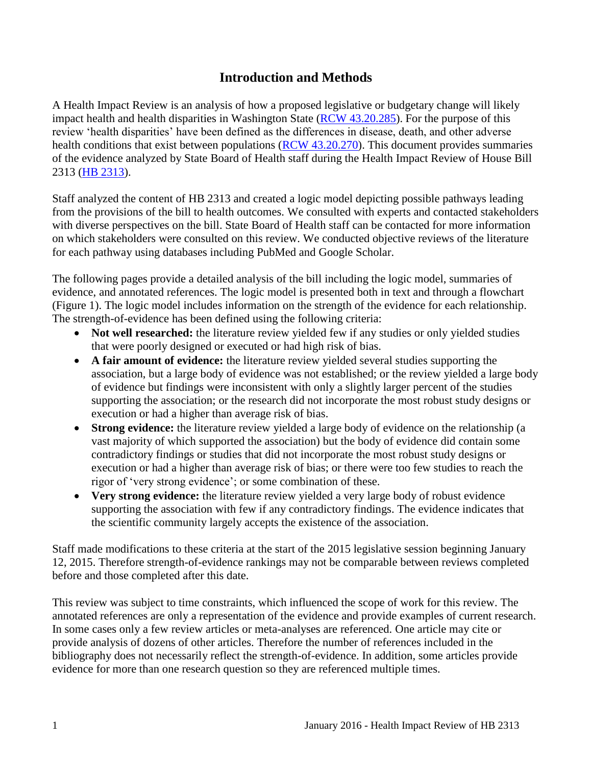# **Introduction and Methods**

<span id="page-2-0"></span>A Health Impact Review is an analysis of how a proposed legislative or budgetary change will likely impact health and health disparities in Washington State [\(RCW 43.20.285\)](http://apps.leg.wa.gov/rcw/default.aspx?cite=43.20.285). For the purpose of this review 'health disparities' have been defined as the differences in disease, death, and other adverse health conditions that exist between populations [\(RCW 43.20.270\)](http://apps.leg.wa.gov/rcw/default.aspx?cite=43.20.270). This document provides summaries of the evidence analyzed by State Board of Health staff during the Health Impact Review of House Bill 2313 [\(HB 2313\)](http://lawfilesext.leg.wa.gov/biennium/2015-16/Pdf/Bills/House%20Bills/2313.pdf).

Staff analyzed the content of HB 2313 and created a logic model depicting possible pathways leading from the provisions of the bill to health outcomes. We consulted with experts and contacted stakeholders with diverse perspectives on the bill. State Board of Health staff can be contacted for more information on which stakeholders were consulted on this review. We conducted objective reviews of the literature for each pathway using databases including PubMed and Google Scholar.

The following pages provide a detailed analysis of the bill including the logic model, summaries of evidence, and annotated references. The logic model is presented both in text and through a flowchart (Figure 1). The logic model includes information on the strength of the evidence for each relationship. The strength-of-evidence has been defined using the following criteria:

- Not well researched: the literature review yielded few if any studies or only yielded studies that were poorly designed or executed or had high risk of bias.
- **A fair amount of evidence:** the literature review yielded several studies supporting the association, but a large body of evidence was not established; or the review yielded a large body of evidence but findings were inconsistent with only a slightly larger percent of the studies supporting the association; or the research did not incorporate the most robust study designs or execution or had a higher than average risk of bias.
- **Strong evidence:** the literature review yielded a large body of evidence on the relationship (a vast majority of which supported the association) but the body of evidence did contain some contradictory findings or studies that did not incorporate the most robust study designs or execution or had a higher than average risk of bias; or there were too few studies to reach the rigor of 'very strong evidence'; or some combination of these.
- **Very strong evidence:** the literature review yielded a very large body of robust evidence supporting the association with few if any contradictory findings. The evidence indicates that the scientific community largely accepts the existence of the association.

Staff made modifications to these criteria at the start of the 2015 legislative session beginning January 12, 2015. Therefore strength-of-evidence rankings may not be comparable between reviews completed before and those completed after this date.

This review was subject to time constraints, which influenced the scope of work for this review. The annotated references are only a representation of the evidence and provide examples of current research. In some cases only a few review articles or meta-analyses are referenced. One article may cite or provide analysis of dozens of other articles. Therefore the number of references included in the bibliography does not necessarily reflect the strength-of-evidence. In addition, some articles provide evidence for more than one research question so they are referenced multiple times.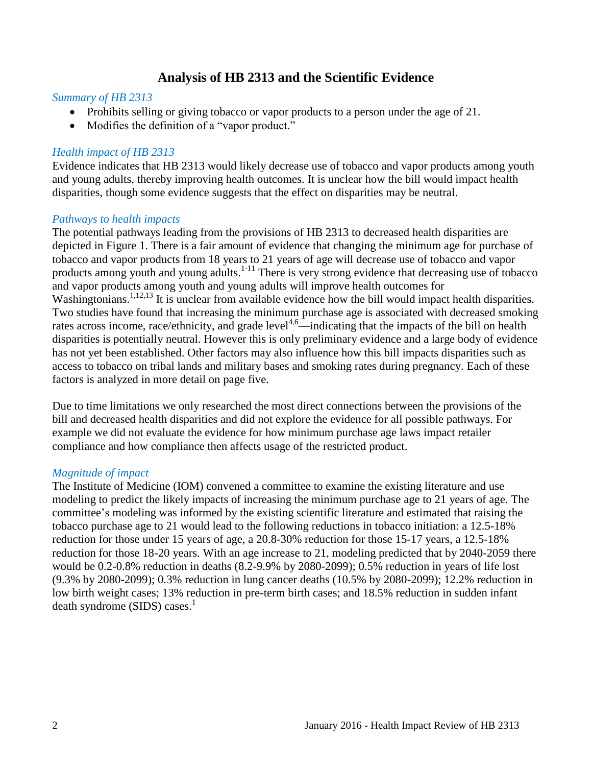# **Analysis of HB 2313 and the Scientific Evidence**

#### <span id="page-3-0"></span>*Summary of HB 2313*

- Prohibits selling or giving tobacco or vapor products to a person under the age of 21.
- Modifies the definition of a "vapor product."

#### *Health impact of HB 2313*

Evidence indicates that HB 2313 would likely decrease use of tobacco and vapor products among youth and young adults, thereby improving health outcomes. It is unclear how the bill would impact health disparities, though some evidence suggests that the effect on disparities may be neutral.

#### *Pathways to health impacts*

The potential pathways leading from the provisions of HB 2313 to decreased health disparities are depicted in Figure 1. There is a fair amount of evidence that changing the minimum age for purchase of tobacco and vapor products from 18 years to 21 years of age will decrease use of tobacco and vapor products among youth and young adults.<sup>[1-11](#page-9-1)</sup> There is very strong evidence that decreasing use of tobacco and vapor products among youth and young adults will improve health outcomes for Washingtonians.<sup>[1,](#page-9-1)[12,](#page-15-0)[13](#page-15-1)</sup> It is unclear from available evidence how the bill would impact health disparities. Two studies have found that increasing the minimum purchase age is associated with decreased smoking rates across income, race/ethnicity, and grade level<sup>[4,](#page-10-0)[6](#page-11-0)</sup>—indicating that the impacts of the bill on health disparities is potentially neutral. However this is only preliminary evidence and a large body of evidence has not yet been established. Other factors may also influence how this bill impacts disparities such as access to tobacco on tribal lands and military bases and smoking rates during pregnancy. Each of these factors is analyzed in more detail on page five.

Due to time limitations we only researched the most direct connections between the provisions of the bill and decreased health disparities and did not explore the evidence for all possible pathways. For example we did not evaluate the evidence for how minimum purchase age laws impact retailer compliance and how compliance then affects usage of the restricted product.

#### *Magnitude of impact*

The Institute of Medicine (IOM) convened a committee to examine the existing literature and use modeling to predict the likely impacts of increasing the minimum purchase age to 21 years of age. The committee's modeling was informed by the existing scientific literature and estimated that raising the tobacco purchase age to 21 would lead to the following reductions in tobacco initiation: a 12.5-18% reduction for those under 15 years of age, a 20.8-30% reduction for those 15-17 years, a 12.5-18% reduction for those 18-20 years. With an age increase to 21, modeling predicted that by 2040-2059 there would be 0.2-0.8% reduction in deaths (8.2-9.9% by 2080-2099); 0.5% reduction in years of life lost (9.3% by 2080-2099); 0.3% reduction in lung cancer deaths (10.5% by 2080-2099); 12.2% reduction in low birth weight cases; 13% reduction in pre-term birth cases; and 18.5% reduction in sudden infant  $death$  syndrome (SIDS) cases[.](#page-9-1)<sup>1</sup>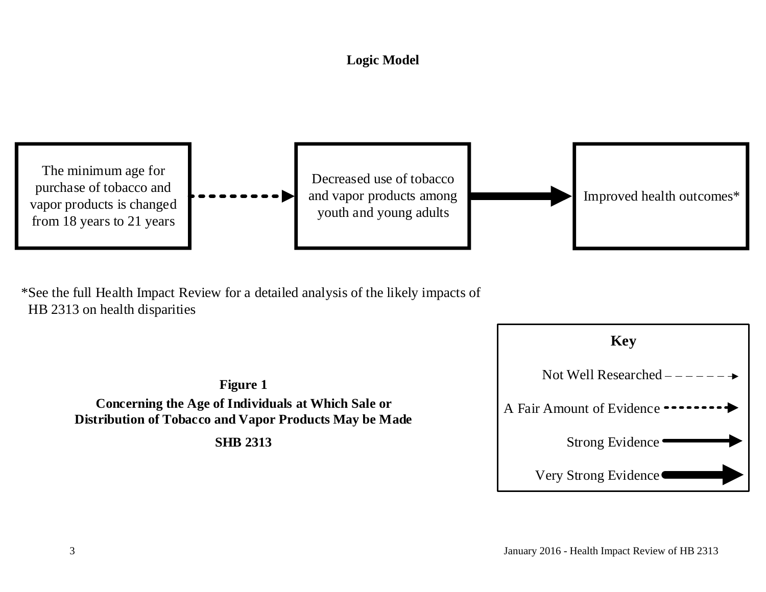# **Logic Model**



<span id="page-4-0"></span>\*See the full Health Impact Review for a detailed analysis of the likely impacts of HB 2313 on health disparities



**Figure 1 Concerning the Age of Individuals at Which Sale or Distribution of Tobacco and Vapor Products May be Made SHB 2313**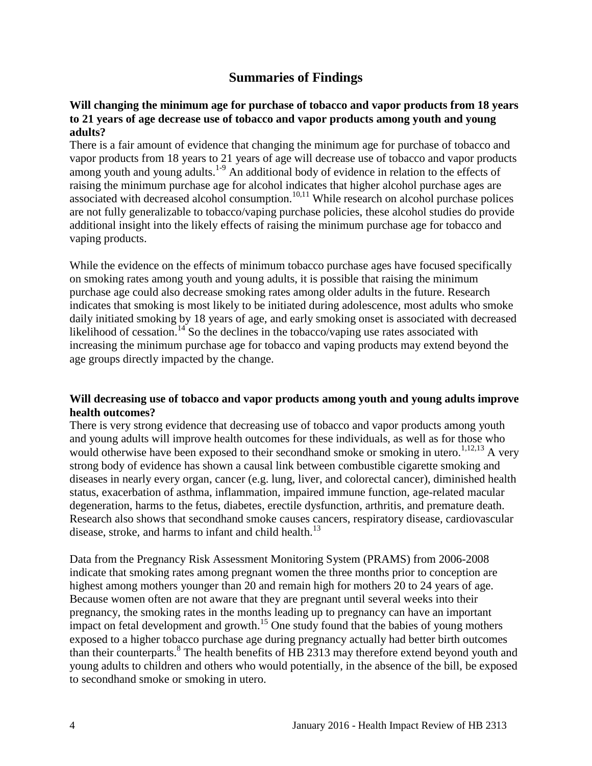# **Summaries of Findings**

#### <span id="page-5-0"></span>**Will changing the minimum age for purchase of tobacco and vapor products from 18 years to 21 years of age decrease use of tobacco and vapor products among youth and young adults?**

There is a fair amount of evidence that changing the minimum age for purchase of tobacco and vapor products from 18 years to 21 years of age will decrease use of tobacco and vapor products among youth and young adults.<sup>[1-9](#page-9-1)</sup> An additional body of evidence in relation to the effects of raising the minimum purchase age for alcohol indicates that higher alcohol purchase ages are associated with decreased alcohol consumption.<sup>[10,](#page-14-0)[11](#page-14-1)</sup> While research on alcohol purchase polices are not fully generalizable to tobacco/vaping purchase policies, these alcohol studies do provide additional insight into the likely effects of raising the minimum purchase age for tobacco and vaping products.

While the evidence on the effects of minimum tobacco purchase ages have focused specifically on smoking rates among youth and young adults, it is possible that raising the minimum purchase age could also decrease smoking rates among older adults in the future. Research indicates that smoking is most likely to be initiated during adolescence, most adults who smoke daily initiated smoking by 18 years of age, and early smoking onset is associated with decreased likelihood of cessation.<sup>[14](#page-16-0)</sup> So the declines in the tobacco/vaping use rates associated with increasing the minimum purchase age for tobacco and vaping products may extend beyond the age groups directly impacted by the change.

#### **Will decreasing use of tobacco and vapor products among youth and young adults improve health outcomes?**

There is very strong evidence that decreasing use of tobacco and vapor products among youth and young adults will improve health outcomes for these individuals, as well as for those who would otherwise have been exposed to their secondhand smoke or smoking in utero.<sup>[1](#page-9-1)[,12](#page-15-0)[,13](#page-15-1)</sup> A very strong body of evidence has shown a causal link between combustible cigarette smoking and diseases in nearly every organ, cancer (e.g. lung, liver, and colorectal cancer), diminished health status, exacerbation of asthma, inflammation, impaired immune function, age-related macular degeneration, harms to the fetus, diabetes, erectile dysfunction, arthritis, and premature death. Research also shows that secondhand smoke causes cancers, respiratory disease, cardiovascular disease, stroke, and harms to infant and child health.<sup>[13](#page-15-1)</sup>

Data from the Pregnancy Risk Assessment Monitoring System (PRAMS) from 2006-2008 indicate that smoking rates among pregnant women the three months prior to conception are highest among mothers younger than 20 and remain high for mothers 20 to 24 years of age. Because women often are not aware that they are pregnant until several weeks into their pregnancy, the smoking rates in the months leading up to pregnancy can have an important impact on fetal development and growth.<sup>[15](#page-16-1)</sup> One study found that the babies of young mothers exposed to a higher tobacco purchase age during pregnancy actually had better birth outcomes than their counterparts. [8](#page-13-0) The health benefits of HB 2313 may therefore extend beyond youth and young adults to children and others who would potentially, in the absence of the bill, be exposed to secondhand smoke or smoking in utero.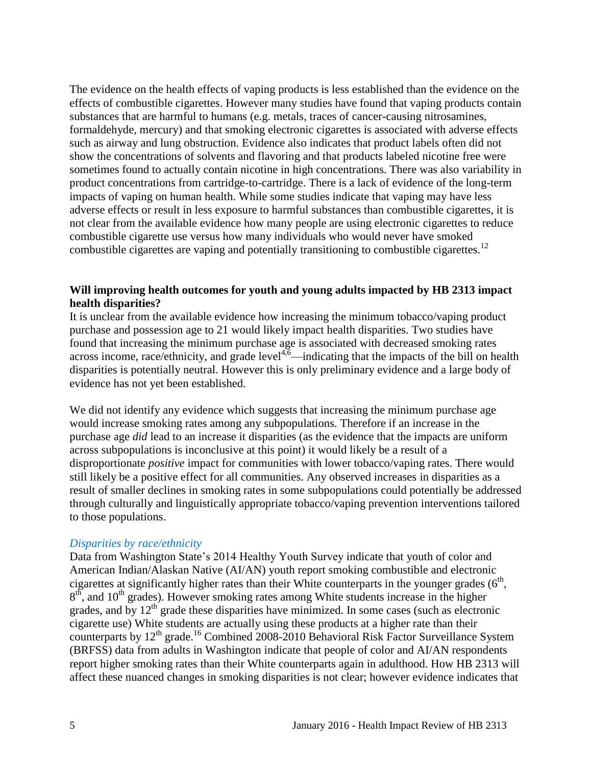The evidence on the health effects of vaping products is less established than the evidence on the effects of combustible cigarettes. However many studies have found that vaping products contain substances that are harmful to humans (e.g. metals, traces of cancer-causing nitrosamines, formaldehyde, mercury) and that smoking electronic cigarettes is associated with adverse effects such as airway and lung obstruction. Evidence also indicates that product labels often did not show the concentrations of solvents and flavoring and that products labeled nicotine free were sometimes found to actually contain nicotine in high concentrations. There was also variability in product concentrations from cartridge-to-cartridge. There is a lack of evidence of the long-term impacts of vaping on human health. While some studies indicate that vaping may have less adverse effects or result in less exposure to harmful substances than combustible cigarettes, it is not clear from the available evidence how many people are using electronic cigarettes to reduce combustible cigarette use versus how many individuals who would never have smoked combustible cigarettes are vaping and potentially transitioning to combustible cigarettes.<sup>[12](#page-15-0)</sup>

### **Will improving health outcomes for youth and young adults impacted by HB 2313 impact health disparities?**

It is unclear from the available evidence how increasing the minimum tobacco/vaping product purchase and possession age to 21 would likely impact health disparities. Two studies have found that increasing the minimum purchase age is associated with decreased smoking rates  $\frac{1}{2}$  across income, race/ethnicity, and grade level<sup>[4](#page-10-0)[,6](#page-11-0)</sup>—indicating that the impacts of the bill on health disparities is potentially neutral. However this is only preliminary evidence and a large body of evidence has not yet been established.

We did not identify any evidence which suggests that increasing the minimum purchase age would increase smoking rates among any subpopulations. Therefore if an increase in the purchase age *did* lead to an increase it disparities (as the evidence that the impacts are uniform across subpopulations is inconclusive at this point) it would likely be a result of a disproportionate *positive* impact for communities with lower tobacco/vaping rates. There would still likely be a positive effect for all communities. Any observed increases in disparities as a result of smaller declines in smoking rates in some subpopulations could potentially be addressed through culturally and linguistically appropriate tobacco/vaping prevention interventions tailored to those populations.

#### *Disparities by race/ethnicity*

Data from Washington State's 2014 Healthy Youth Survey indicate that youth of color and American Indian/Alaskan Native (AI/AN) youth report smoking combustible and electronic cigarettes at significantly higher rates than their White counterparts in the younger grades  $(6<sup>th</sup>$ ,  $8<sup>th</sup>$ , and  $10<sup>th</sup>$  grades). However smoking rates among White students increase in the higher grades, and by  $12<sup>th</sup>$  grade these disparities have minimized. In some cases (such as electronic cigarette use) White students are actually using these products at a higher rate than their counterparts by 12<sup>th</sup> grade.<sup>[16](#page-16-2)</sup> Combined 2008-2010 Behavioral Risk Factor Surveillance System (BRFSS) data from adults in Washington indicate that people of color and AI/AN respondents report higher smoking rates than their White counterparts again in adulthood. How HB 2313 will affect these nuanced changes in smoking disparities is not clear; however evidence indicates that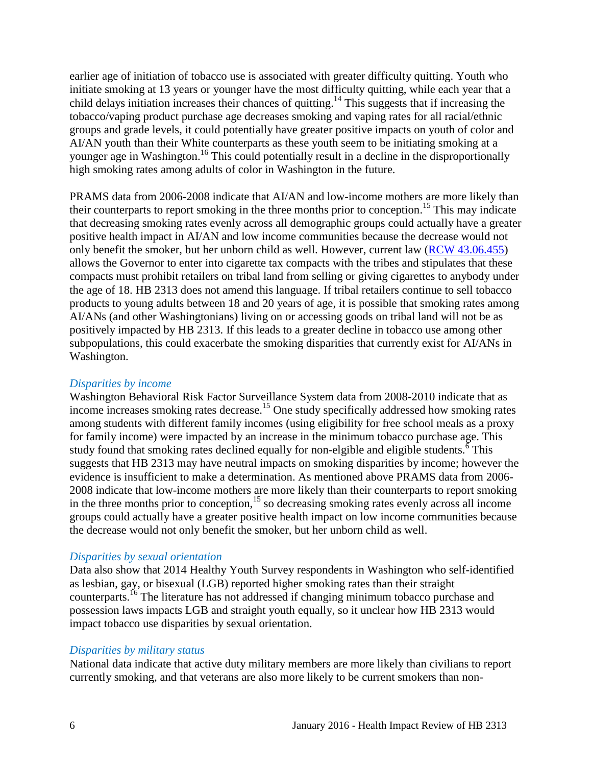earlier age of initiation of tobacco use is associated with greater difficulty quitting. Youth who initiate smoking at 13 years or younger have the most difficulty quitting, while each year that a child delays initiation increases their chances of quitting. [14](#page-16-0) This suggests that if increasing the tobacco/vaping product purchase age decreases smoking and vaping rates for all racial/ethnic groups and grade levels, it could potentially have greater positive impacts on youth of color and AI/AN youth than their White counterparts as these youth seem to be initiating smoking at a younger age in Washington.<sup>[16](#page-16-2)</sup> This could potentially result in a decline in the disproportionally high smoking rates among adults of color in Washington in the future.

PRAMS data from 2006-2008 indicate that AI/AN and low-income mothers are more likely than their counterparts to report smoking in the three months prior to conception.<sup>[15](#page-16-1)</sup> This may indicate that decreasing smoking rates evenly across all demographic groups could actually have a greater positive health impact in AI/AN and low income communities because the decrease would not only benefit the smoker, but her unborn child as well. However, current law [\(RCW 43.06.455\)](http://apps.leg.wa.gov/rcw/default.aspx?cite=43.06.455) allows the Governor to enter into cigarette tax compacts with the tribes and stipulates that these compacts must prohibit retailers on tribal land from selling or giving cigarettes to anybody under the age of 18. HB 2313 does not amend this language. If tribal retailers continue to sell tobacco products to young adults between 18 and 20 years of age, it is possible that smoking rates among AI/ANs (and other Washingtonians) living on or accessing goods on tribal land will not be as positively impacted by HB 2313. If this leads to a greater decline in tobacco use among other subpopulations, this could exacerbate the smoking disparities that currently exist for AI/ANs in Washington.

#### *Disparities by income*

Washington Behavioral Risk Factor Surveillance System data from 2008-2010 indicate that as income increases smoking rates decrease.<sup>[15](#page-16-1)</sup> One study specifically addressed how smoking rates among students with different family incomes (using eligibility for free school meals as a proxy for family income) were impacted by an increase in the minimum tobacco purchase age. This study found that smoking rates declined equally for non-elgible and eligible students.<sup> $\frac{8}{3}$ </sup> This suggests that HB 2313 may have neutral impacts on smoking disparities by income; however the evidence is insufficient to make a determination. As mentioned above PRAMS data from 2006- 2008 indicate that low-income mothers are more likely than their counterparts to report smoking in the three months prior to conception,<sup>[15](#page-16-1)</sup> so decreasing smoking rates evenly across all income groups could actually have a greater positive health impact on low income communities because the decrease would not only benefit the smoker, but her unborn child as well.

#### *Disparities by sexual orientation*

Data also show that 2014 Healthy Youth Survey respondents in Washington who self-identified as lesbian, gay, or bisexual (LGB) reported higher smoking rates than their straight counterparts.[16](#page-16-2) The literature has not addressed if changing minimum tobacco purchase and possession laws impacts LGB and straight youth equally, so it unclear how HB 2313 would impact tobacco use disparities by sexual orientation.

#### *Disparities by military status*

National data indicate that active duty military members are more likely than civilians to report currently smoking, and that veterans are also more likely to be current smokers than non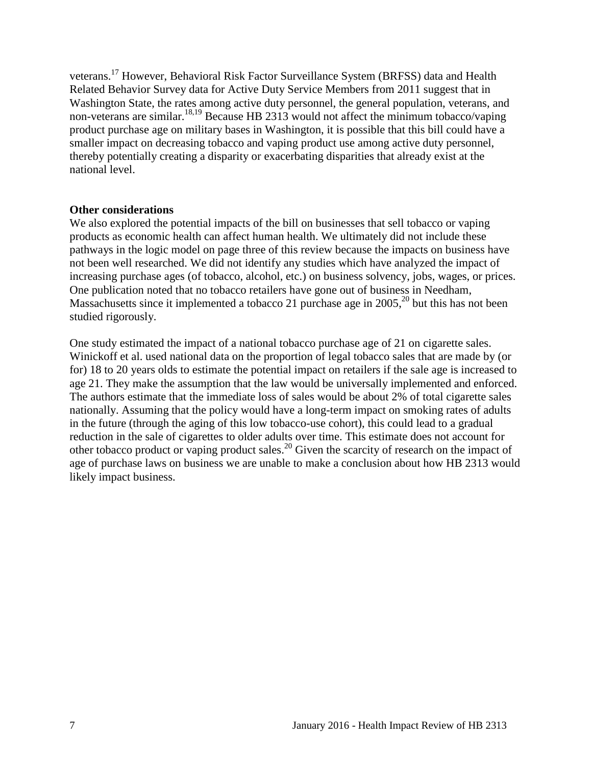veterans.<sup>17</sup> However, Behavioral Risk Factor Surveillance System (BRFSS) data and Health Related Behavior Survey data for Active Duty Service Members from 2011 suggest that in Washington State, the rates among active duty personnel, the general population, veterans, and non-veterans are similar.<sup>18,19</sup> Because HB 2313 would not affect the minimum tobacco/vaping product purchase age on military bases in Washington, it is possible that this bill could have a smaller impact on decreasing tobacco and vaping product use among active duty personnel, thereby potentially creating a disparity or exacerbating disparities that already exist at the national level.

#### **Other considerations**

We also explored the potential impacts of the bill on businesses that sell tobacco or vaping products as economic health can affect human health. We ultimately did not include these pathways in the logic model on page three of this review because the impacts on business have not been well researched. We did not identify any studies which have analyzed the impact of increasing purchase ages (of tobacco, alcohol, etc.) on business solvency, jobs, wages, or prices. One publication noted that no tobacco retailers have gone out of business in Needham, Massachusetts since it implemented a tobacco 21 purchase age in 2005,  $^{20}$  but this has not been studied rigorously.

One study estimated the impact of a national tobacco purchase age of 21 on cigarette sales. Winickoff et al. used national data on the proportion of legal tobacco sales that are made by (or for) 18 to 20 years olds to estimate the potential impact on retailers if the sale age is increased to age 21. They make the assumption that the law would be universally implemented and enforced. The authors estimate that the immediate loss of sales would be about 2% of total cigarette sales nationally. Assuming that the policy would have a long-term impact on smoking rates of adults in the future (through the aging of this low tobacco-use cohort), this could lead to a gradual reduction in the sale of cigarettes to older adults over time. This estimate does not account for other tobacco product or vaping product sales.<sup>20</sup> Given the scarcity of research on the impact of age of purchase laws on business we are unable to make a conclusion about how HB 2313 would likely impact business.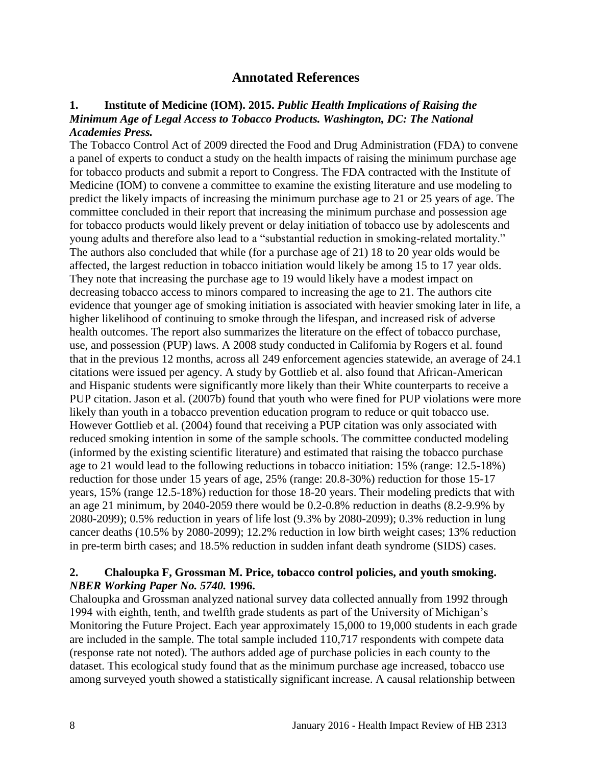# **Annotated References**

#### <span id="page-9-1"></span><span id="page-9-0"></span>**1. Institute of Medicine (IOM). 2015.** *Public Health Implications of Raising the Minimum Age of Legal Access to Tobacco Products. Washington, DC: The National Academies Press.*

The Tobacco Control Act of 2009 directed the Food and Drug Administration (FDA) to convene a panel of experts to conduct a study on the health impacts of raising the minimum purchase age for tobacco products and submit a report to Congress. The FDA contracted with the Institute of Medicine (IOM) to convene a committee to examine the existing literature and use modeling to predict the likely impacts of increasing the minimum purchase age to 21 or 25 years of age. The committee concluded in their report that increasing the minimum purchase and possession age for tobacco products would likely prevent or delay initiation of tobacco use by adolescents and young adults and therefore also lead to a "substantial reduction in smoking-related mortality." The authors also concluded that while (for a purchase age of 21) 18 to 20 year olds would be affected, the largest reduction in tobacco initiation would likely be among 15 to 17 year olds. They note that increasing the purchase age to 19 would likely have a modest impact on decreasing tobacco access to minors compared to increasing the age to 21. The authors cite evidence that younger age of smoking initiation is associated with heavier smoking later in life, a higher likelihood of continuing to smoke through the lifespan, and increased risk of adverse health outcomes. The report also summarizes the literature on the effect of tobacco purchase, use, and possession (PUP) laws. A 2008 study conducted in California by Rogers et al. found that in the previous 12 months, across all 249 enforcement agencies statewide, an average of 24.1 citations were issued per agency. A study by Gottlieb et al. also found that African-American and Hispanic students were significantly more likely than their White counterparts to receive a PUP citation. Jason et al. (2007b) found that youth who were fined for PUP violations were more likely than youth in a tobacco prevention education program to reduce or quit tobacco use. However Gottlieb et al. (2004) found that receiving a PUP citation was only associated with reduced smoking intention in some of the sample schools. The committee conducted modeling (informed by the existing scientific literature) and estimated that raising the tobacco purchase age to 21 would lead to the following reductions in tobacco initiation: 15% (range: 12.5-18%) reduction for those under 15 years of age, 25% (range: 20.8-30%) reduction for those 15-17 years, 15% (range 12.5-18%) reduction for those 18-20 years. Their modeling predicts that with an age 21 minimum, by 2040-2059 there would be 0.2-0.8% reduction in deaths (8.2-9.9% by 2080-2099); 0.5% reduction in years of life lost (9.3% by 2080-2099); 0.3% reduction in lung cancer deaths (10.5% by 2080-2099); 12.2% reduction in low birth weight cases; 13% reduction in pre-term birth cases; and 18.5% reduction in sudden infant death syndrome (SIDS) cases.

#### **2. Chaloupka F, Grossman M. Price, tobacco control policies, and youth smoking.**  *NBER Working Paper No. 5740.* **1996.**

Chaloupka and Grossman analyzed national survey data collected annually from 1992 through 1994 with eighth, tenth, and twelfth grade students as part of the University of Michigan's Monitoring the Future Project. Each year approximately 15,000 to 19,000 students in each grade are included in the sample. The total sample included 110,717 respondents with compete data (response rate not noted). The authors added age of purchase policies in each county to the dataset. This ecological study found that as the minimum purchase age increased, tobacco use among surveyed youth showed a statistically significant increase. A causal relationship between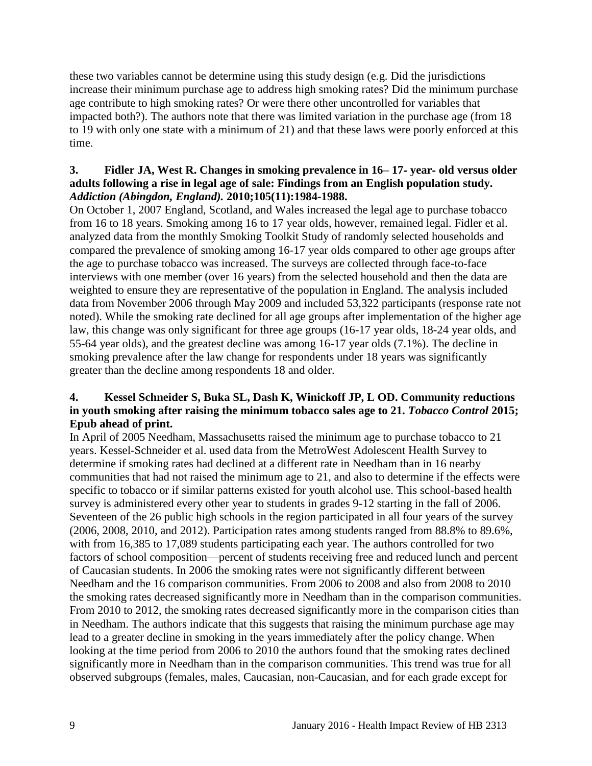these two variables cannot be determine using this study design (e.g. Did the jurisdictions increase their minimum purchase age to address high smoking rates? Did the minimum purchase age contribute to high smoking rates? Or were there other uncontrolled for variables that impacted both?). The authors note that there was limited variation in the purchase age (from 18 to 19 with only one state with a minimum of 21) and that these laws were poorly enforced at this time.

### **3. Fidler JA, West R. Changes in smoking prevalence in 16– 17**‐ **year**‐ **old versus older adults following a rise in legal age of sale: Findings from an English population study.**  *Addiction (Abingdon, England).* **2010;105(11):1984-1988.**

On October 1, 2007 England, Scotland, and Wales increased the legal age to purchase tobacco from 16 to 18 years. Smoking among 16 to 17 year olds, however, remained legal. Fidler et al. analyzed data from the monthly Smoking Toolkit Study of randomly selected households and compared the prevalence of smoking among 16-17 year olds compared to other age groups after the age to purchase tobacco was increased. The surveys are collected through face-to-face interviews with one member (over 16 years) from the selected household and then the data are weighted to ensure they are representative of the population in England. The analysis included data from November 2006 through May 2009 and included 53,322 participants (response rate not noted). While the smoking rate declined for all age groups after implementation of the higher age law, this change was only significant for three age groups (16-17 year olds, 18-24 year olds, and 55-64 year olds), and the greatest decline was among 16-17 year olds (7.1%). The decline in smoking prevalence after the law change for respondents under 18 years was significantly greater than the decline among respondents 18 and older.

# <span id="page-10-0"></span>**4. Kessel Schneider S, Buka SL, Dash K, Winickoff JP, L OD. Community reductions in youth smoking after raising the minimum tobacco sales age to 21.** *Tobacco Control* **2015; Epub ahead of print.**

In April of 2005 Needham, Massachusetts raised the minimum age to purchase tobacco to 21 years. Kessel-Schneider et al. used data from the MetroWest Adolescent Health Survey to determine if smoking rates had declined at a different rate in Needham than in 16 nearby communities that had not raised the minimum age to 21, and also to determine if the effects were specific to tobacco or if similar patterns existed for youth alcohol use. This school-based health survey is administered every other year to students in grades 9-12 starting in the fall of 2006. Seventeen of the 26 public high schools in the region participated in all four years of the survey (2006, 2008, 2010, and 2012). Participation rates among students ranged from 88.8% to 89.6%, with from 16,385 to 17,089 students participating each year. The authors controlled for two factors of school composition—percent of students receiving free and reduced lunch and percent of Caucasian students. In 2006 the smoking rates were not significantly different between Needham and the 16 comparison communities. From 2006 to 2008 and also from 2008 to 2010 the smoking rates decreased significantly more in Needham than in the comparison communities. From 2010 to 2012, the smoking rates decreased significantly more in the comparison cities than in Needham. The authors indicate that this suggests that raising the minimum purchase age may lead to a greater decline in smoking in the years immediately after the policy change. When looking at the time period from 2006 to 2010 the authors found that the smoking rates declined significantly more in Needham than in the comparison communities. This trend was true for all observed subgroups (females, males, Caucasian, non-Caucasian, and for each grade except for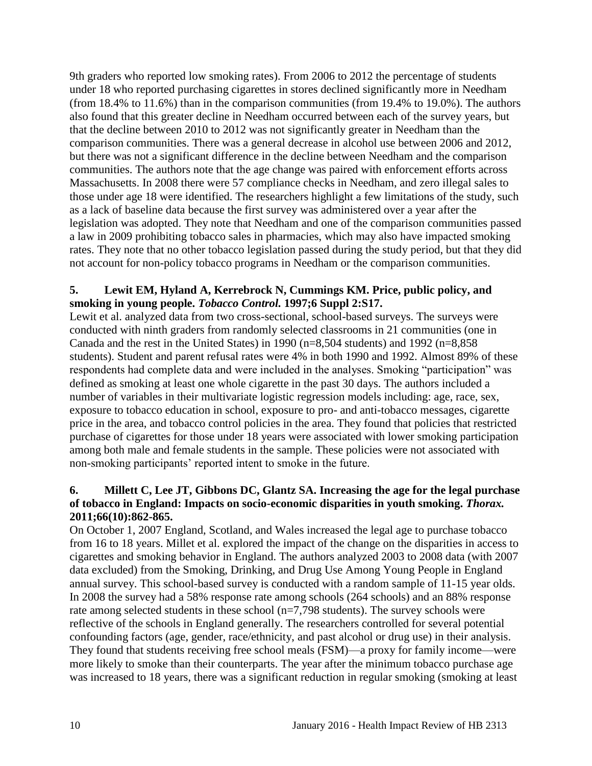9th graders who reported low smoking rates). From 2006 to 2012 the percentage of students under 18 who reported purchasing cigarettes in stores declined significantly more in Needham (from 18.4% to 11.6%) than in the comparison communities (from 19.4% to 19.0%). The authors also found that this greater decline in Needham occurred between each of the survey years, but that the decline between 2010 to 2012 was not significantly greater in Needham than the comparison communities. There was a general decrease in alcohol use between 2006 and 2012, but there was not a significant difference in the decline between Needham and the comparison communities. The authors note that the age change was paired with enforcement efforts across Massachusetts. In 2008 there were 57 compliance checks in Needham, and zero illegal sales to those under age 18 were identified. The researchers highlight a few limitations of the study, such as a lack of baseline data because the first survey was administered over a year after the legislation was adopted. They note that Needham and one of the comparison communities passed a law in 2009 prohibiting tobacco sales in pharmacies, which may also have impacted smoking rates. They note that no other tobacco legislation passed during the study period, but that they did not account for non-policy tobacco programs in Needham or the comparison communities.

# **5. Lewit EM, Hyland A, Kerrebrock N, Cummings KM. Price, public policy, and smoking in young people.** *Tobacco Control.* **1997;6 Suppl 2:S17.**

Lewit et al. analyzed data from two cross-sectional, school-based surveys. The surveys were conducted with ninth graders from randomly selected classrooms in 21 communities (one in Canada and the rest in the United States) in 1990 ( $n=8,504$  students) and 1992 ( $n=8,858$ students). Student and parent refusal rates were 4% in both 1990 and 1992. Almost 89% of these respondents had complete data and were included in the analyses. Smoking "participation" was defined as smoking at least one whole cigarette in the past 30 days. The authors included a number of variables in their multivariate logistic regression models including: age, race, sex, exposure to tobacco education in school, exposure to pro- and anti-tobacco messages, cigarette price in the area, and tobacco control policies in the area. They found that policies that restricted purchase of cigarettes for those under 18 years were associated with lower smoking participation among both male and female students in the sample. These policies were not associated with non-smoking participants' reported intent to smoke in the future.

# <span id="page-11-0"></span>**6. Millett C, Lee JT, Gibbons DC, Glantz SA. Increasing the age for the legal purchase of tobacco in England: Impacts on socio-economic disparities in youth smoking.** *Thorax.*  **2011;66(10):862-865.**

On October 1, 2007 England, Scotland, and Wales increased the legal age to purchase tobacco from 16 to 18 years. Millet et al. explored the impact of the change on the disparities in access to cigarettes and smoking behavior in England. The authors analyzed 2003 to 2008 data (with 2007 data excluded) from the Smoking, Drinking, and Drug Use Among Young People in England annual survey. This school-based survey is conducted with a random sample of 11-15 year olds. In 2008 the survey had a 58% response rate among schools (264 schools) and an 88% response rate among selected students in these school (n=7,798 students). The survey schools were reflective of the schools in England generally. The researchers controlled for several potential confounding factors (age, gender, race/ethnicity, and past alcohol or drug use) in their analysis. They found that students receiving free school meals (FSM)—a proxy for family income—were more likely to smoke than their counterparts. The year after the minimum tobacco purchase age was increased to 18 years, there was a significant reduction in regular smoking (smoking at least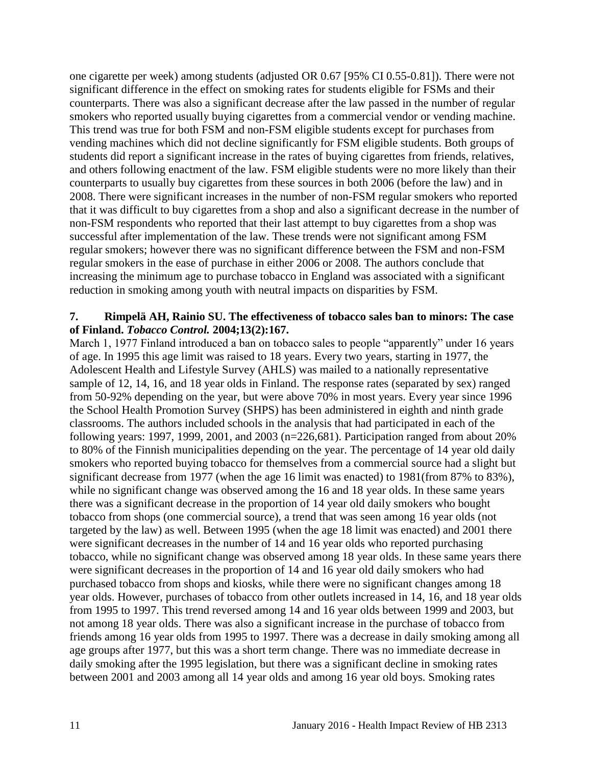one cigarette per week) among students (adjusted OR 0.67 [95% CI 0.55-0.81]). There were not significant difference in the effect on smoking rates for students eligible for FSMs and their counterparts. There was also a significant decrease after the law passed in the number of regular smokers who reported usually buying cigarettes from a commercial vendor or vending machine. This trend was true for both FSM and non-FSM eligible students except for purchases from vending machines which did not decline significantly for FSM eligible students. Both groups of students did report a significant increase in the rates of buying cigarettes from friends, relatives, and others following enactment of the law. FSM eligible students were no more likely than their counterparts to usually buy cigarettes from these sources in both 2006 (before the law) and in 2008. There were significant increases in the number of non-FSM regular smokers who reported that it was difficult to buy cigarettes from a shop and also a significant decrease in the number of non-FSM respondents who reported that their last attempt to buy cigarettes from a shop was successful after implementation of the law. These trends were not significant among FSM regular smokers; however there was no significant difference between the FSM and non-FSM regular smokers in the ease of purchase in either 2006 or 2008. The authors conclude that increasing the minimum age to purchase tobacco in England was associated with a significant reduction in smoking among youth with neutral impacts on disparities by FSM.

#### **7. Rimpelä AH, Rainio SU. The effectiveness of tobacco sales ban to minors: The case of Finland.** *Tobacco Control.* **2004;13(2):167.**

March 1, 1977 Finland introduced a ban on tobacco sales to people "apparently" under 16 years of age. In 1995 this age limit was raised to 18 years. Every two years, starting in 1977, the Adolescent Health and Lifestyle Survey (AHLS) was mailed to a nationally representative sample of 12, 14, 16, and 18 year olds in Finland. The response rates (separated by sex) ranged from 50-92% depending on the year, but were above 70% in most years. Every year since 1996 the School Health Promotion Survey (SHPS) has been administered in eighth and ninth grade classrooms. The authors included schools in the analysis that had participated in each of the following years: 1997, 1999, 2001, and 2003 ( $n=226,681$ ). Participation ranged from about 20% to 80% of the Finnish municipalities depending on the year. The percentage of 14 year old daily smokers who reported buying tobacco for themselves from a commercial source had a slight but significant decrease from 1977 (when the age 16 limit was enacted) to 1981(from 87% to 83%), while no significant change was observed among the 16 and 18 year olds. In these same years there was a significant decrease in the proportion of 14 year old daily smokers who bought tobacco from shops (one commercial source), a trend that was seen among 16 year olds (not targeted by the law) as well. Between 1995 (when the age 18 limit was enacted) and 2001 there were significant decreases in the number of 14 and 16 year olds who reported purchasing tobacco, while no significant change was observed among 18 year olds. In these same years there were significant decreases in the proportion of 14 and 16 year old daily smokers who had purchased tobacco from shops and kiosks, while there were no significant changes among 18 year olds. However, purchases of tobacco from other outlets increased in 14, 16, and 18 year olds from 1995 to 1997. This trend reversed among 14 and 16 year olds between 1999 and 2003, but not among 18 year olds. There was also a significant increase in the purchase of tobacco from friends among 16 year olds from 1995 to 1997. There was a decrease in daily smoking among all age groups after 1977, but this was a short term change. There was no immediate decrease in daily smoking after the 1995 legislation, but there was a significant decline in smoking rates between 2001 and 2003 among all 14 year olds and among 16 year old boys. Smoking rates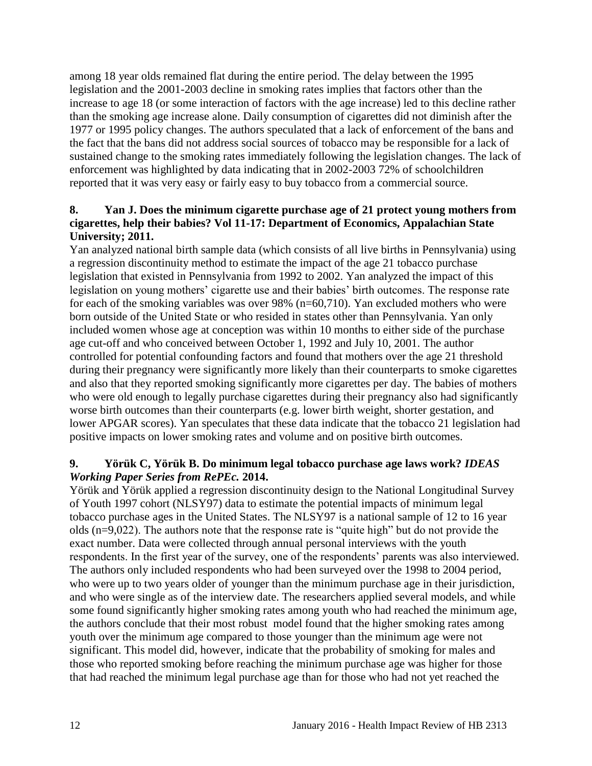among 18 year olds remained flat during the entire period. The delay between the 1995 legislation and the 2001-2003 decline in smoking rates implies that factors other than the increase to age 18 (or some interaction of factors with the age increase) led to this decline rather than the smoking age increase alone. Daily consumption of cigarettes did not diminish after the 1977 or 1995 policy changes. The authors speculated that a lack of enforcement of the bans and the fact that the bans did not address social sources of tobacco may be responsible for a lack of sustained change to the smoking rates immediately following the legislation changes. The lack of enforcement was highlighted by data indicating that in 2002-2003 72% of schoolchildren reported that it was very easy or fairly easy to buy tobacco from a commercial source.

# <span id="page-13-0"></span>**8. Yan J. Does the minimum cigarette purchase age of 21 protect young mothers from cigarettes, help their babies? Vol 11-17: Department of Economics, Appalachian State University; 2011.**

Yan analyzed national birth sample data (which consists of all live births in Pennsylvania) using a regression discontinuity method to estimate the impact of the age 21 tobacco purchase legislation that existed in Pennsylvania from 1992 to 2002. Yan analyzed the impact of this legislation on young mothers' cigarette use and their babies' birth outcomes. The response rate for each of the smoking variables was over 98% (n=60,710). Yan excluded mothers who were born outside of the United State or who resided in states other than Pennsylvania. Yan only included women whose age at conception was within 10 months to either side of the purchase age cut-off and who conceived between October 1, 1992 and July 10, 2001. The author controlled for potential confounding factors and found that mothers over the age 21 threshold during their pregnancy were significantly more likely than their counterparts to smoke cigarettes and also that they reported smoking significantly more cigarettes per day. The babies of mothers who were old enough to legally purchase cigarettes during their pregnancy also had significantly worse birth outcomes than their counterparts (e.g. lower birth weight, shorter gestation, and lower APGAR scores). Yan speculates that these data indicate that the tobacco 21 legislation had positive impacts on lower smoking rates and volume and on positive birth outcomes.

# **9. Yörük C, Yörük B. Do minimum legal tobacco purchase age laws work?** *IDEAS Working Paper Series from RePEc.* **2014.**

Yörük and Yörük applied a regression discontinuity design to the National Longitudinal Survey of Youth 1997 cohort (NLSY97) data to estimate the potential impacts of minimum legal tobacco purchase ages in the United States. The NLSY97 is a national sample of 12 to 16 year olds (n=9,022). The authors note that the response rate is "quite high" but do not provide the exact number. Data were collected through annual personal interviews with the youth respondents. In the first year of the survey, one of the respondents' parents was also interviewed. The authors only included respondents who had been surveyed over the 1998 to 2004 period, who were up to two years older of younger than the minimum purchase age in their jurisdiction, and who were single as of the interview date. The researchers applied several models, and while some found significantly higher smoking rates among youth who had reached the minimum age, the authors conclude that their most robust model found that the higher smoking rates among youth over the minimum age compared to those younger than the minimum age were not significant. This model did, however, indicate that the probability of smoking for males and those who reported smoking before reaching the minimum purchase age was higher for those that had reached the minimum legal purchase age than for those who had not yet reached the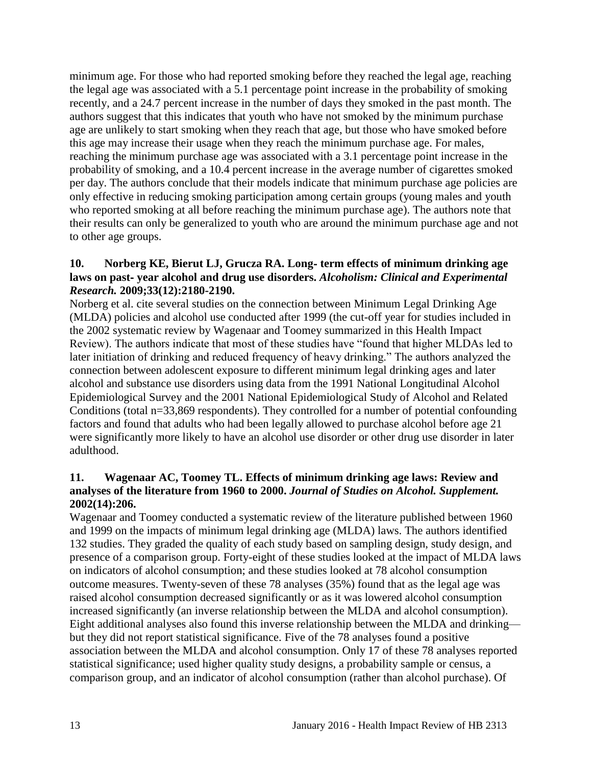minimum age. For those who had reported smoking before they reached the legal age, reaching the legal age was associated with a 5.1 percentage point increase in the probability of smoking recently, and a 24.7 percent increase in the number of days they smoked in the past month. The authors suggest that this indicates that youth who have not smoked by the minimum purchase age are unlikely to start smoking when they reach that age, but those who have smoked before this age may increase their usage when they reach the minimum purchase age. For males, reaching the minimum purchase age was associated with a 3.1 percentage point increase in the probability of smoking, and a 10.4 percent increase in the average number of cigarettes smoked per day. The authors conclude that their models indicate that minimum purchase age policies are only effective in reducing smoking participation among certain groups (young males and youth who reported smoking at all before reaching the minimum purchase age). The authors note that their results can only be generalized to youth who are around the minimum purchase age and not to other age groups.

### <span id="page-14-0"></span>**10. Norberg KE, Bierut LJ, Grucza RA. Long**‐ **term effects of minimum drinking age laws on past**‐ **year alcohol and drug use disorders.** *Alcoholism: Clinical and Experimental Research.* **2009;33(12):2180-2190.**

Norberg et al. cite several studies on the connection between Minimum Legal Drinking Age (MLDA) policies and alcohol use conducted after 1999 (the cut-off year for studies included in the 2002 systematic review by Wagenaar and Toomey summarized in this Health Impact Review). The authors indicate that most of these studies have "found that higher MLDAs led to later initiation of drinking and reduced frequency of heavy drinking." The authors analyzed the connection between adolescent exposure to different minimum legal drinking ages and later alcohol and substance use disorders using data from the 1991 National Longitudinal Alcohol Epidemiological Survey and the 2001 National Epidemiological Study of Alcohol and Related Conditions (total n=33,869 respondents). They controlled for a number of potential confounding factors and found that adults who had been legally allowed to purchase alcohol before age 21 were significantly more likely to have an alcohol use disorder or other drug use disorder in later adulthood.

### <span id="page-14-1"></span>**11. Wagenaar AC, Toomey TL. Effects of minimum drinking age laws: Review and analyses of the literature from 1960 to 2000.** *Journal of Studies on Alcohol. Supplement.*  **2002(14):206.**

Wagenaar and Toomey conducted a systematic review of the literature published between 1960 and 1999 on the impacts of minimum legal drinking age (MLDA) laws. The authors identified 132 studies. They graded the quality of each study based on sampling design, study design, and presence of a comparison group. Forty-eight of these studies looked at the impact of MLDA laws on indicators of alcohol consumption; and these studies looked at 78 alcohol consumption outcome measures. Twenty-seven of these 78 analyses (35%) found that as the legal age was raised alcohol consumption decreased significantly or as it was lowered alcohol consumption increased significantly (an inverse relationship between the MLDA and alcohol consumption). Eight additional analyses also found this inverse relationship between the MLDA and drinking but they did not report statistical significance. Five of the 78 analyses found a positive association between the MLDA and alcohol consumption. Only 17 of these 78 analyses reported statistical significance; used higher quality study designs, a probability sample or census, a comparison group, and an indicator of alcohol consumption (rather than alcohol purchase). Of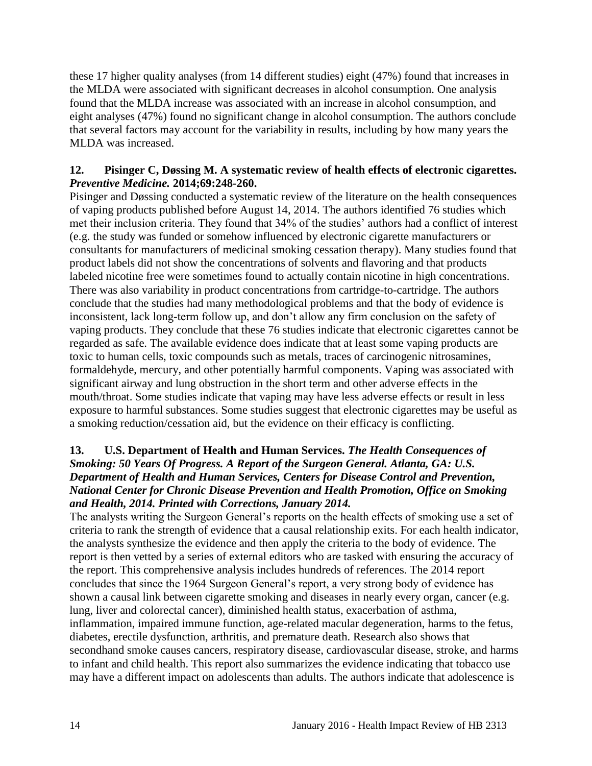these 17 higher quality analyses (from 14 different studies) eight (47%) found that increases in the MLDA were associated with significant decreases in alcohol consumption. One analysis found that the MLDA increase was associated with an increase in alcohol consumption, and eight analyses (47%) found no significant change in alcohol consumption. The authors conclude that several factors may account for the variability in results, including by how many years the MLDA was increased.

#### <span id="page-15-0"></span>**12. Pisinger C, Døssing M. A systematic review of health effects of electronic cigarettes.**  *Preventive Medicine.* **2014;69:248-260.**

Pisinger and Døssing conducted a systematic review of the literature on the health consequences of vaping products published before August 14, 2014. The authors identified 76 studies which met their inclusion criteria. They found that 34% of the studies' authors had a conflict of interest (e.g. the study was funded or somehow influenced by electronic cigarette manufacturers or consultants for manufacturers of medicinal smoking cessation therapy). Many studies found that product labels did not show the concentrations of solvents and flavoring and that products labeled nicotine free were sometimes found to actually contain nicotine in high concentrations. There was also variability in product concentrations from cartridge-to-cartridge. The authors conclude that the studies had many methodological problems and that the body of evidence is inconsistent, lack long-term follow up, and don't allow any firm conclusion on the safety of vaping products. They conclude that these 76 studies indicate that electronic cigarettes cannot be regarded as safe. The available evidence does indicate that at least some vaping products are toxic to human cells, toxic compounds such as metals, traces of carcinogenic nitrosamines, formaldehyde, mercury, and other potentially harmful components. Vaping was associated with significant airway and lung obstruction in the short term and other adverse effects in the mouth/throat. Some studies indicate that vaping may have less adverse effects or result in less exposure to harmful substances. Some studies suggest that electronic cigarettes may be useful as a smoking reduction/cessation aid, but the evidence on their efficacy is conflicting.

# <span id="page-15-1"></span>**13. U.S. Department of Health and Human Services.** *The Health Consequences of Smoking: 50 Years Of Progress. A Report of the Surgeon General. Atlanta, GA: U.S. Department of Health and Human Services, Centers for Disease Control and Prevention, National Center for Chronic Disease Prevention and Health Promotion, Office on Smoking and Health, 2014. Printed with Corrections, January 2014.*

The analysts writing the Surgeon General's reports on the health effects of smoking use a set of criteria to rank the strength of evidence that a causal relationship exits. For each health indicator, the analysts synthesize the evidence and then apply the criteria to the body of evidence. The report is then vetted by a series of external editors who are tasked with ensuring the accuracy of the report. This comprehensive analysis includes hundreds of references. The 2014 report concludes that since the 1964 Surgeon General's report, a very strong body of evidence has shown a causal link between cigarette smoking and diseases in nearly every organ, cancer (e.g. lung, liver and colorectal cancer), diminished health status, exacerbation of asthma, inflammation, impaired immune function, age-related macular degeneration, harms to the fetus, diabetes, erectile dysfunction, arthritis, and premature death. Research also shows that secondhand smoke causes cancers, respiratory disease, cardiovascular disease, stroke, and harms to infant and child health. This report also summarizes the evidence indicating that tobacco use may have a different impact on adolescents than adults. The authors indicate that adolescence is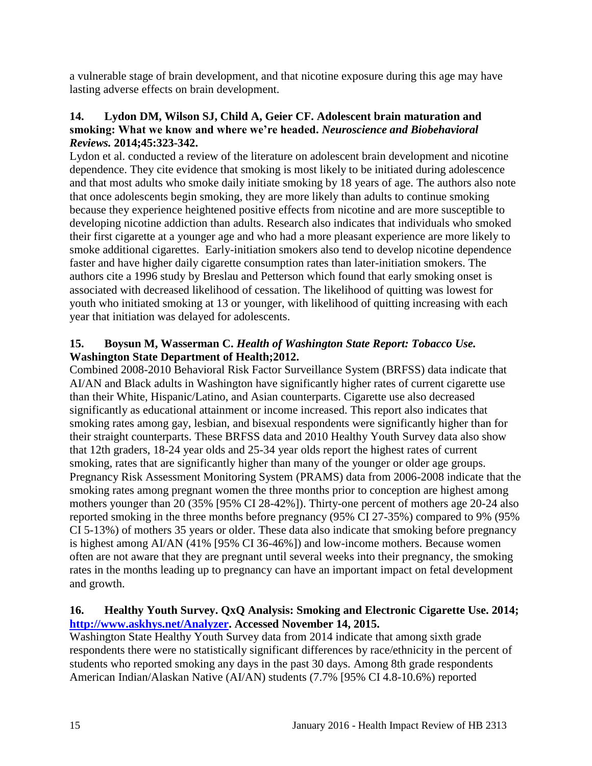a vulnerable stage of brain development, and that nicotine exposure during this age may have lasting adverse effects on brain development.

### <span id="page-16-0"></span>**14. Lydon DM, Wilson SJ, Child A, Geier CF. Adolescent brain maturation and smoking: What we know and where we're headed.** *Neuroscience and Biobehavioral Reviews.* **2014;45:323-342.**

Lydon et al. conducted a review of the literature on adolescent brain development and nicotine dependence. They cite evidence that smoking is most likely to be initiated during adolescence and that most adults who smoke daily initiate smoking by 18 years of age. The authors also note that once adolescents begin smoking, they are more likely than adults to continue smoking because they experience heightened positive effects from nicotine and are more susceptible to developing nicotine addiction than adults. Research also indicates that individuals who smoked their first cigarette at a younger age and who had a more pleasant experience are more likely to smoke additional cigarettes. Early-initiation smokers also tend to develop nicotine dependence faster and have higher daily cigarette consumption rates than later-initiation smokers. The authors cite a 1996 study by Breslau and Petterson which found that early smoking onset is associated with decreased likelihood of cessation. The likelihood of quitting was lowest for youth who initiated smoking at 13 or younger, with likelihood of quitting increasing with each year that initiation was delayed for adolescents.

# <span id="page-16-1"></span>**15. Boysun M, Wasserman C.** *Health of Washington State Report: Tobacco Use.* **Washington State Department of Health;2012.**

Combined 2008-2010 Behavioral Risk Factor Surveillance System (BRFSS) data indicate that AI/AN and Black adults in Washington have significantly higher rates of current cigarette use than their White, Hispanic/Latino, and Asian counterparts. Cigarette use also decreased significantly as educational attainment or income increased. This report also indicates that smoking rates among gay, lesbian, and bisexual respondents were significantly higher than for their straight counterparts. These BRFSS data and 2010 Healthy Youth Survey data also show that 12th graders, 18-24 year olds and 25-34 year olds report the highest rates of current smoking, rates that are significantly higher than many of the younger or older age groups. Pregnancy Risk Assessment Monitoring System (PRAMS) data from 2006-2008 indicate that the smoking rates among pregnant women the three months prior to conception are highest among mothers younger than 20 (35% [95% CI 28-42%]). Thirty-one percent of mothers age 20-24 also reported smoking in the three months before pregnancy (95% CI 27-35%) compared to 9% (95% CI 5-13%) of mothers 35 years or older. These data also indicate that smoking before pregnancy is highest among AI/AN (41% [95% CI 36-46%]) and low-income mothers. Because women often are not aware that they are pregnant until several weeks into their pregnancy, the smoking rates in the months leading up to pregnancy can have an important impact on fetal development and growth.

# <span id="page-16-2"></span>**16. Healthy Youth Survey. QxQ Analysis: Smoking and Electronic Cigarette Use. 2014; [http://www.askhys.net/Analyzer.](http://www.askhys.net/Analyzer) Accessed November 14, 2015.**

Washington State Healthy Youth Survey data from 2014 indicate that among sixth grade respondents there were no statistically significant differences by race/ethnicity in the percent of students who reported smoking any days in the past 30 days. Among 8th grade respondents American Indian/Alaskan Native (AI/AN) students (7.7% [95% CI 4.8-10.6%) reported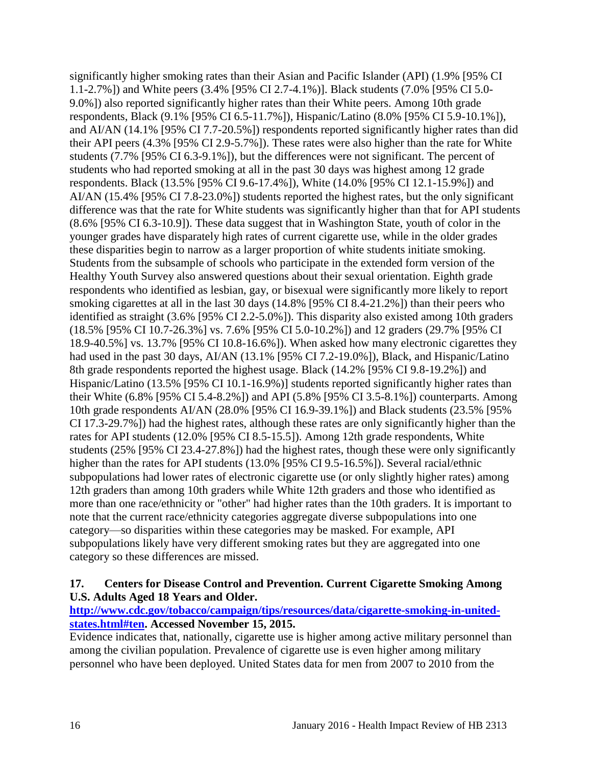significantly higher smoking rates than their Asian and Pacific Islander (API) (1.9% [95% CI 1.1-2.7%]) and White peers (3.4% [95% CI 2.7-4.1%)]. Black students (7.0% [95% CI 5.0- 9.0%]) also reported significantly higher rates than their White peers. Among 10th grade respondents, Black (9.1% [95% CI 6.5-11.7%]), Hispanic/Latino (8.0% [95% CI 5.9-10.1%]), and AI/AN (14.1% [95% CI 7.7-20.5%]) respondents reported significantly higher rates than did their API peers (4.3% [95% CI 2.9-5.7%]). These rates were also higher than the rate for White students (7.7% [95% CI 6.3-9.1%]), but the differences were not significant. The percent of students who had reported smoking at all in the past 30 days was highest among 12 grade respondents. Black (13.5% [95% CI 9.6-17.4%]), White (14.0% [95% CI 12.1-15.9%]) and AI/AN (15.4% [95% CI 7.8-23.0%]) students reported the highest rates, but the only significant difference was that the rate for White students was significantly higher than that for API students (8.6% [95% CI 6.3-10.9]). These data suggest that in Washington State, youth of color in the younger grades have disparately high rates of current cigarette use, while in the older grades these disparities begin to narrow as a larger proportion of white students initiate smoking. Students from the subsample of schools who participate in the extended form version of the Healthy Youth Survey also answered questions about their sexual orientation. Eighth grade respondents who identified as lesbian, gay, or bisexual were significantly more likely to report smoking cigarettes at all in the last 30 days (14.8% [95% CI 8.4-21.2%]) than their peers who identified as straight (3.6% [95% CI 2.2-5.0%]). This disparity also existed among 10th graders (18.5% [95% CI 10.7-26.3%] vs. 7.6% [95% CI 5.0-10.2%]) and 12 graders (29.7% [95% CI 18.9-40.5%] vs. 13.7% [95% CI 10.8-16.6%]). When asked how many electronic cigarettes they had used in the past 30 days, AI/AN (13.1% [95% CI 7.2-19.0%]), Black, and Hispanic/Latino 8th grade respondents reported the highest usage. Black (14.2% [95% CI 9.8-19.2%]) and Hispanic/Latino (13.5% [95% CI 10.1-16.9%)] students reported significantly higher rates than their White (6.8% [95% CI 5.4-8.2%]) and API (5.8% [95% CI 3.5-8.1%]) counterparts. Among 10th grade respondents AI/AN (28.0% [95% CI 16.9-39.1%]) and Black students (23.5% [95% CI 17.3-29.7%]) had the highest rates, although these rates are only significantly higher than the rates for API students (12.0% [95% CI 8.5-15.5]). Among 12th grade respondents, White students (25% [95% CI 23.4-27.8%]) had the highest rates, though these were only significantly higher than the rates for API students (13.0% [95% CI 9.5-16.5%]). Several racial/ethnic subpopulations had lower rates of electronic cigarette use (or only slightly higher rates) among 12th graders than among 10th graders while White 12th graders and those who identified as more than one race/ethnicity or "other" had higher rates than the 10th graders. It is important to note that the current race/ethnicity categories aggregate diverse subpopulations into one category—so disparities within these categories may be masked. For example, API subpopulations likely have very different smoking rates but they are aggregated into one category so these differences are missed.

# **17. Centers for Disease Control and Prevention. Current Cigarette Smoking Among U.S. Adults Aged 18 Years and Older.**

**[http://www.cdc.gov/tobacco/campaign/tips/resources/data/cigarette-smoking-in-united](http://www.cdc.gov/tobacco/campaign/tips/resources/data/cigarette-smoking-in-united-states.html#ten)[states.html#ten.](http://www.cdc.gov/tobacco/campaign/tips/resources/data/cigarette-smoking-in-united-states.html#ten) Accessed November 15, 2015.**

Evidence indicates that, nationally, cigarette use is higher among active military personnel than among the civilian population. Prevalence of cigarette use is even higher among military personnel who have been deployed. United States data for men from 2007 to 2010 from the